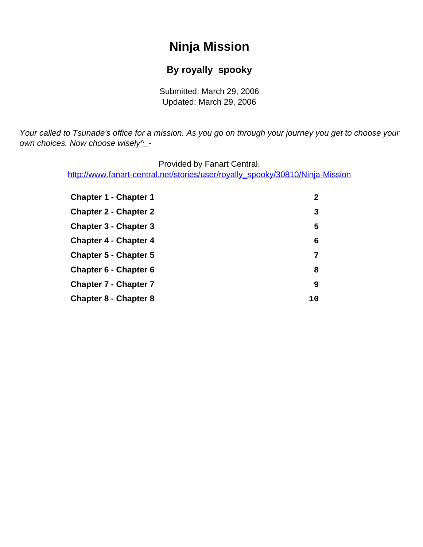# **Ninja Mission**

#### **By royally\_spooky**

Submitted: March 29, 2006 Updated: March 29, 2006

<span id="page-0-0"></span>Your called to Tsunade's office for a mission. As you go on through your journey you get to choose your own choices. Now choose wisely^\_-

Provided by Fanart Central.

[http://www.fanart-central.net/stories/user/royally\\_spooky/30810/Ninja-Mission](#page-0-0)

| <b>Chapter 1 - Chapter 1</b> | 2  |
|------------------------------|----|
| <b>Chapter 2 - Chapter 2</b> | 3  |
| <b>Chapter 3 - Chapter 3</b> | 5  |
| <b>Chapter 4 - Chapter 4</b> | 6  |
| <b>Chapter 5 - Chapter 5</b> | 7  |
| Chapter 6 - Chapter 6        | 8  |
| <b>Chapter 7 - Chapter 7</b> | 9  |
| <b>Chapter 8 - Chapter 8</b> | 10 |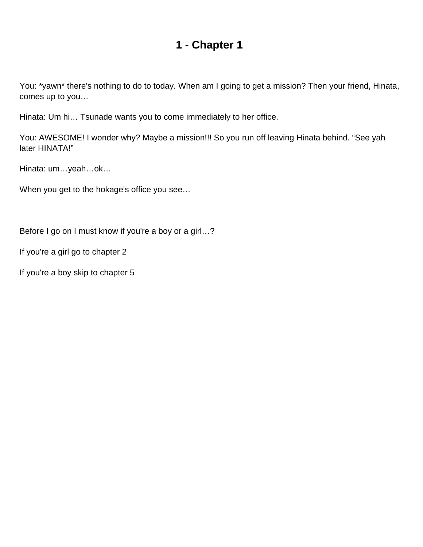<span id="page-1-0"></span>You: \*yawn\* there's nothing to do to today. When am I going to get a mission? Then your friend, Hinata, comes up to you…

Hinata: Um hi… Tsunade wants you to come immediately to her office.

You: AWESOME! I wonder why? Maybe a mission!!! So you run off leaving Hinata behind. "See yah later HINATA!"

Hinata: um…yeah…ok…

When you get to the hokage's office you see…

Before I go on I must know if you're a boy or a girl…?

If you're a girl go to chapter 2

If you're a boy skip to chapter 5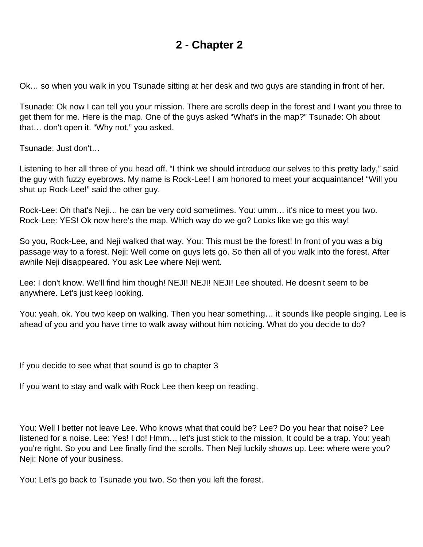<span id="page-2-0"></span>Ok… so when you walk in you Tsunade sitting at her desk and two guys are standing in front of her.

Tsunade: Ok now I can tell you your mission. There are scrolls deep in the forest and I want you three to get them for me. Here is the map. One of the guys asked "What's in the map?" Tsunade: Oh about that… don't open it. "Why not," you asked.

Tsunade: Just don't…

Listening to her all three of you head off. "I think we should introduce our selves to this pretty lady," said the guy with fuzzy eyebrows. My name is Rock-Lee! I am honored to meet your acquaintance! "Will you shut up Rock-Lee!" said the other guy.

Rock-Lee: Oh that's Neji… he can be very cold sometimes. You: umm… it's nice to meet you two. Rock-Lee: YES! Ok now here's the map. Which way do we go? Looks like we go this way!

So you, Rock-Lee, and Neji walked that way. You: This must be the forest! In front of you was a big passage way to a forest. Neji: Well come on guys lets go. So then all of you walk into the forest. After awhile Neji disappeared. You ask Lee where Neji went.

Lee: I don't know. We'll find him though! NEJI! NEJI! NEJI! Lee shouted. He doesn't seem to be anywhere. Let's just keep looking.

You: yeah, ok. You two keep on walking. Then you hear something… it sounds like people singing. Lee is ahead of you and you have time to walk away without him noticing. What do you decide to do?

If you decide to see what that sound is go to chapter 3

If you want to stay and walk with Rock Lee then keep on reading.

You: Well I better not leave Lee. Who knows what that could be? Lee? Do you hear that noise? Lee listened for a noise. Lee: Yes! I do! Hmm… let's just stick to the mission. It could be a trap. You: yeah you're right. So you and Lee finally find the scrolls. Then Neji luckily shows up. Lee: where were you? Neji: None of your business.

You: Let's go back to Tsunade you two. So then you left the forest.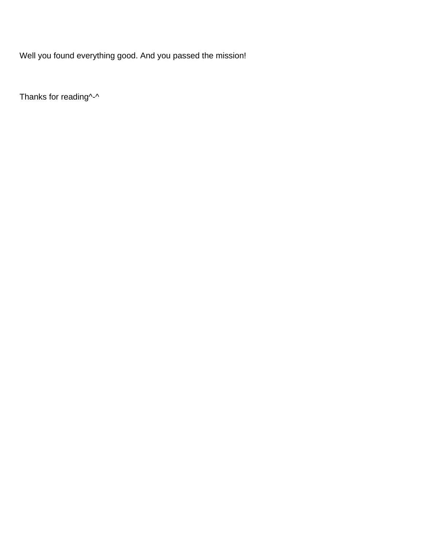Well you found everything good. And you passed the mission!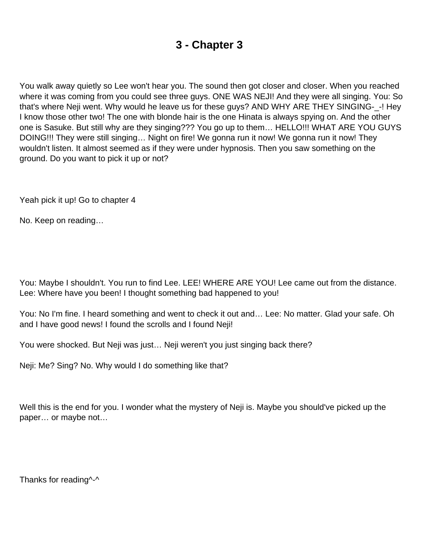<span id="page-4-0"></span>You walk away quietly so Lee won't hear you. The sound then got closer and closer. When you reached where it was coming from you could see three guys. ONE WAS NEJI! And they were all singing. You: So that's where Neji went. Why would he leave us for these guys? AND WHY ARE THEY SINGING-\_-! Hey I know those other two! The one with blonde hair is the one Hinata is always spying on. And the other one is Sasuke. But still why are they singing??? You go up to them… HELLO!!! WHAT ARE YOU GUYS DOING!!! They were still singing… Night on fire! We gonna run it now! We gonna run it now! They wouldn't listen. It almost seemed as if they were under hypnosis. Then you saw something on the ground. Do you want to pick it up or not?

Yeah pick it up! Go to chapter 4

No. Keep on reading…

You: Maybe I shouldn't. You run to find Lee. LEE! WHERE ARE YOU! Lee came out from the distance. Lee: Where have you been! I thought something bad happened to you!

You: No I'm fine. I heard something and went to check it out and… Lee: No matter. Glad your safe. Oh and I have good news! I found the scrolls and I found Neji!

You were shocked. But Neji was just… Neji weren't you just singing back there?

Neji: Me? Sing? No. Why would I do something like that?

Well this is the end for you. I wonder what the mystery of Neji is. Maybe you should've picked up the paper… or maybe not…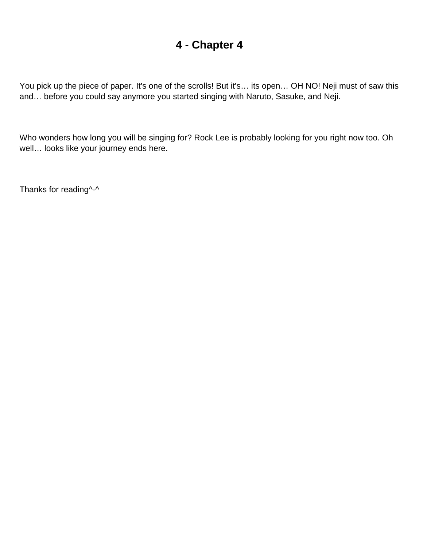<span id="page-5-0"></span>You pick up the piece of paper. It's one of the scrolls! But it's... its open... OH NO! Neji must of saw this and… before you could say anymore you started singing with Naruto, Sasuke, and Neji.

Who wonders how long you will be singing for? Rock Lee is probably looking for you right now too. Oh well… looks like your journey ends here.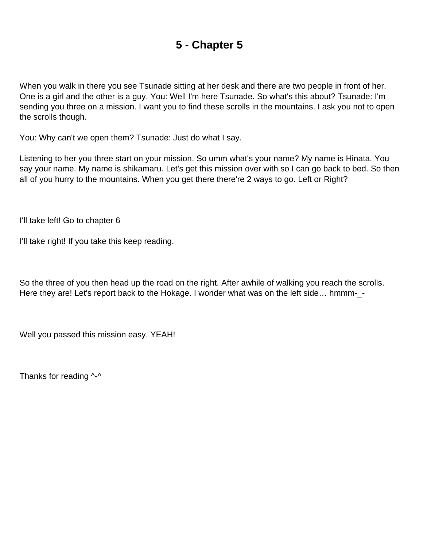<span id="page-6-0"></span>When you walk in there you see Tsunade sitting at her desk and there are two people in front of her. One is a girl and the other is a guy. You: Well I'm here Tsunade. So what's this about? Tsunade: I'm sending you three on a mission. I want you to find these scrolls in the mountains. I ask you not to open the scrolls though.

You: Why can't we open them? Tsunade: Just do what I say.

Listening to her you three start on your mission. So umm what's your name? My name is Hinata. You say your name. My name is shikamaru. Let's get this mission over with so I can go back to bed. So then all of you hurry to the mountains. When you get there there're 2 ways to go. Left or Right?

I'll take left! Go to chapter 6

I'll take right! If you take this keep reading.

So the three of you then head up the road on the right. After awhile of walking you reach the scrolls. Here they are! Let's report back to the Hokage. I wonder what was on the left side... hmmm-\_-

Well you passed this mission easy. YEAH!

Thanks for reading  $\lambda - \lambda$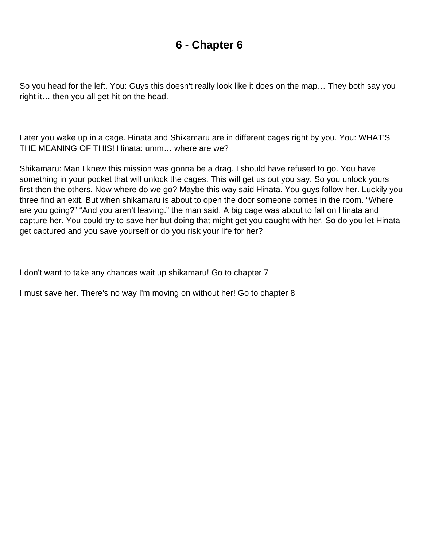<span id="page-7-0"></span>So you head for the left. You: Guys this doesn't really look like it does on the map… They both say you right it… then you all get hit on the head.

Later you wake up in a cage. Hinata and Shikamaru are in different cages right by you. You: WHAT'S THE MEANING OF THIS! Hinata: umm… where are we?

Shikamaru: Man I knew this mission was gonna be a drag. I should have refused to go. You have something in your pocket that will unlock the cages. This will get us out you say. So you unlock yours first then the others. Now where do we go? Maybe this way said Hinata. You guys follow her. Luckily you three find an exit. But when shikamaru is about to open the door someone comes in the room. "Where are you going?" "And you aren't leaving." the man said. A big cage was about to fall on Hinata and capture her. You could try to save her but doing that might get you caught with her. So do you let Hinata get captured and you save yourself or do you risk your life for her?

I don't want to take any chances wait up shikamaru! Go to chapter 7

I must save her. There's no way I'm moving on without her! Go to chapter 8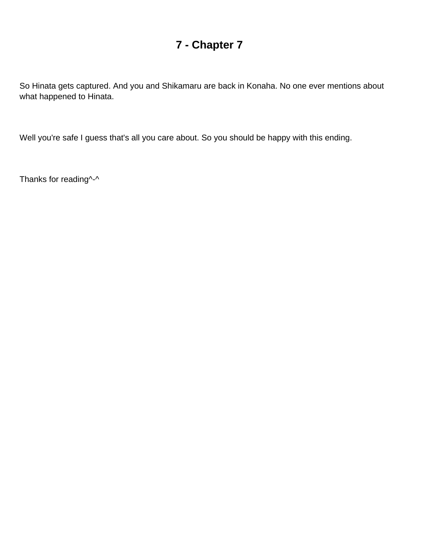<span id="page-8-0"></span>So Hinata gets captured. And you and Shikamaru are back in Konaha. No one ever mentions about what happened to Hinata.

Well you're safe I guess that's all you care about. So you should be happy with this ending.